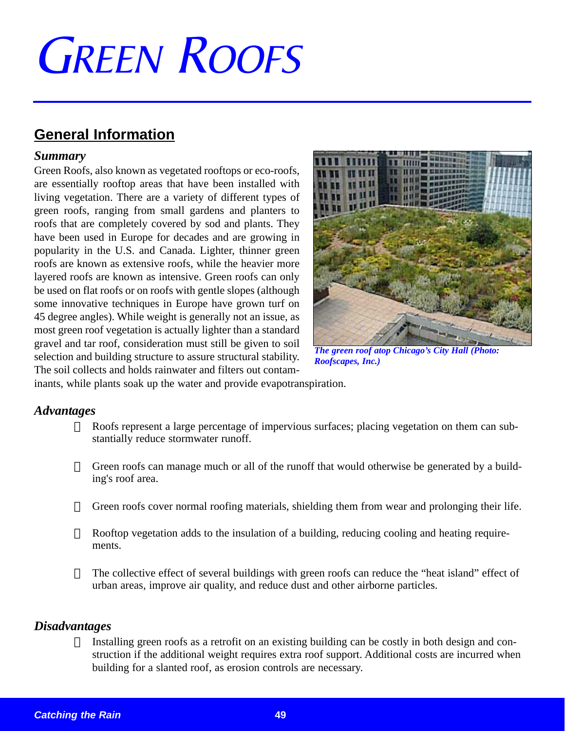# **GREEN ROOFS**

# **General Information**

#### *Summary*

Green Roofs, also known as vegetated rooftops or eco-roofs, are essentially rooftop areas that have been installed with living vegetation. There are a variety of different types of green roofs, ranging from small gardens and planters to roofs that are completely covered by sod and plants. They have been used in Europe for decades and are growing in popularity in the U.S. and Canada. Lighter, thinner green roofs are known as extensive roofs, while the heavier more layered roofs are known as intensive. Green roofs can only be used on flat roofs or on roofs with gentle slopes (although some innovative techniques in Europe have grown turf on 45 degree angles). While weight is generally not an issue, as most green roof vegetation is actually lighter than a standard gravel and tar roof, consideration must still be given to soil selection and building structure to assure structural stability. The soil collects and holds rainwater and filters out contam-



*The green roof atop Chicago's City Hall (Photo: Roofscapes, Inc.)*

inants, while plants soak up the water and provide evapotranspiration.

#### *Advantages*

- $\alpha$  Roofs represent a large percentage of impervious surfaces; placing vegetation on them can substantially reduce stormwater runoff.
- $\alpha$  Green roofs can manage much or all of the runoff that would otherwise be generated by a building's roof area.
- $\alpha$  Green roofs cover normal roofing materials, shielding them from wear and prolonging their life.
- $\alpha$  Rooftop vegetation adds to the insulation of a building, reducing cooling and heating requirements.
- The collective effect of several buildings with green roofs can reduce the "heat island" effect of urban areas, improve air quality, and reduce dust and other airborne particles.

#### *Disadvantages*

Installing green roofs as a retrofit on an existing building can be costly in both design and construction if the additional weight requires extra roof support. Additional costs are incurred when building for a slanted roof, as erosion controls are necessary.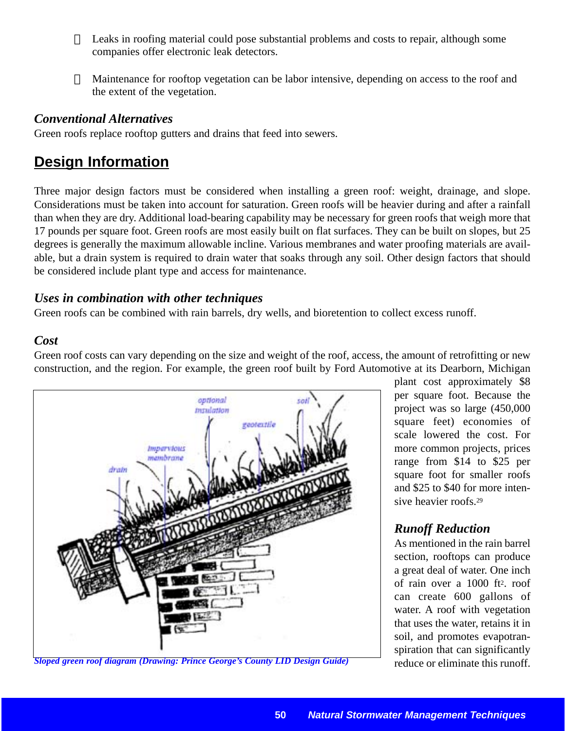- $\alpha$  Leaks in roofing material could pose substantial problems and costs to repair, although some companies offer electronic leak detectors.
- $\alpha$  Maintenance for rooftop vegetation can be labor intensive, depending on access to the roof and the extent of the vegetation.

#### *Conventional Alternatives*

Green roofs replace rooftop gutters and drains that feed into sewers.

# **Design Information**

Three major design factors must be considered when installing a green roof: weight, drainage, and slope. Considerations must be taken into account for saturation. Green roofs will be heavier during and after a rainfall than when they are dry. Additional load-bearing capability may be necessary for green roofs that weigh more that 17 pounds per square foot. Green roofs are most easily built on flat surfaces. They can be built on slopes, but 25 degrees is generally the maximum allowable incline. Various membranes and water proofing materials are available, but a drain system is required to drain water that soaks through any soil. Other design factors that should be considered include plant type and access for maintenance.

#### *Uses in combination with other techniques*

Green roofs can be combined with rain barrels, dry wells, and bioretention to collect excess runoff.

#### *Cost*

Green roof costs can vary depending on the size and weight of the roof, access, the amount of retrofitting or new construction, and the region. For example, the green roof built by Ford Automotive at its Dearborn, Michigan



*Sloped green roof diagram (Drawing: Prince George's County LID Design Guide)* reduce or eliminate this runoff.

plant cost approximately \$8 per square foot. Because the project was so large (450,000 square feet) economies of scale lowered the cost. For more common projects, prices range from \$14 to \$25 per square foot for smaller roofs and \$25 to \$40 for more intensive heavier roofs.29

## *Runoff Reduction*

As mentioned in the rain barrel section, rooftops can produce a great deal of water. One inch of rain over a 1000 ft2. roof can create 600 gallons of water. A roof with vegetation that uses the water, retains it in soil, and promotes evapotranspiration that can significantly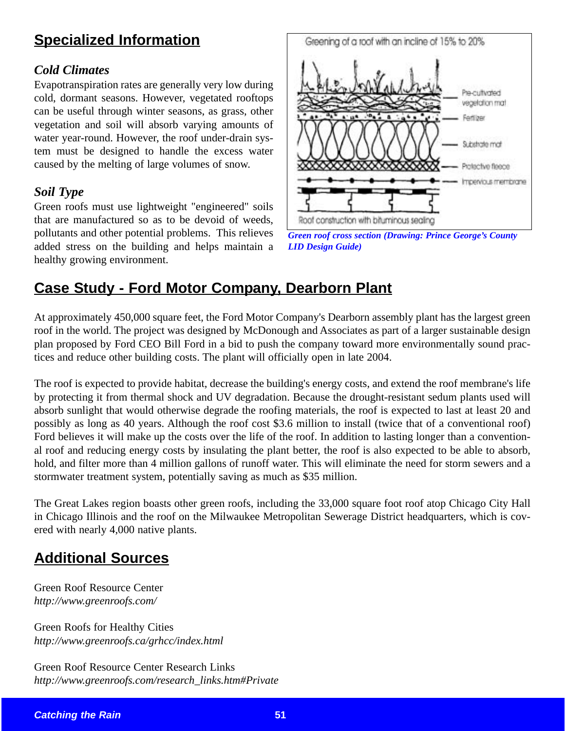# **Specialized Information**

### *Cold Climates*

Evapotranspiration rates are generally very low during cold, dormant seasons. However, vegetated rooftops can be useful through winter seasons, as grass, other vegetation and soil will absorb varying amounts of water year-round. However, the roof under-drain system must be designed to handle the excess water caused by the melting of large volumes of snow.

#### *Soil Type*

Green roofs must use lightweight "engineered" soils that are manufactured so as to be devoid of weeds, pollutants and other potential problems. This relieves added stress on the building and helps maintain a healthy growing environment.



*Green roof cross section (Drawing: Prince George's County LID Design Guide)*

# **Case Study - Ford Motor Company, Dearborn Plant**

At approximately 450,000 square feet, the Ford Motor Company's Dearborn assembly plant has the largest green roof in the world. The project was designed by McDonough and Associates as part of a larger sustainable design plan proposed by Ford CEO Bill Ford in a bid to push the company toward more environmentally sound practices and reduce other building costs. The plant will officially open in late 2004.

The roof is expected to provide habitat, decrease the building's energy costs, and extend the roof membrane's life by protecting it from thermal shock and UV degradation. Because the drought-resistant sedum plants used will absorb sunlight that would otherwise degrade the roofing materials, the roof is expected to last at least 20 and possibly as long as 40 years. Although the roof cost \$3.6 million to install (twice that of a conventional roof) Ford believes it will make up the costs over the life of the roof. In addition to lasting longer than a conventional roof and reducing energy costs by insulating the plant better, the roof is also expected to be able to absorb, hold, and filter more than 4 million gallons of runoff water. This will eliminate the need for storm sewers and a stormwater treatment system, potentially saving as much as \$35 million.

The Great Lakes region boasts other green roofs, including the 33,000 square foot roof atop Chicago City Hall in Chicago Illinois and the roof on the Milwaukee Metropolitan Sewerage District headquarters, which is covered with nearly 4,000 native plants.

# **Additional Sources**

Green Roof Resource Center *http://www.greenroofs.com/*

Green Roofs for Healthy Cities *http://www.greenroofs.ca/grhcc/index.html*

Green Roof Resource Center Research Links *http://www.greenroofs.com/research\_links.htm#Private*